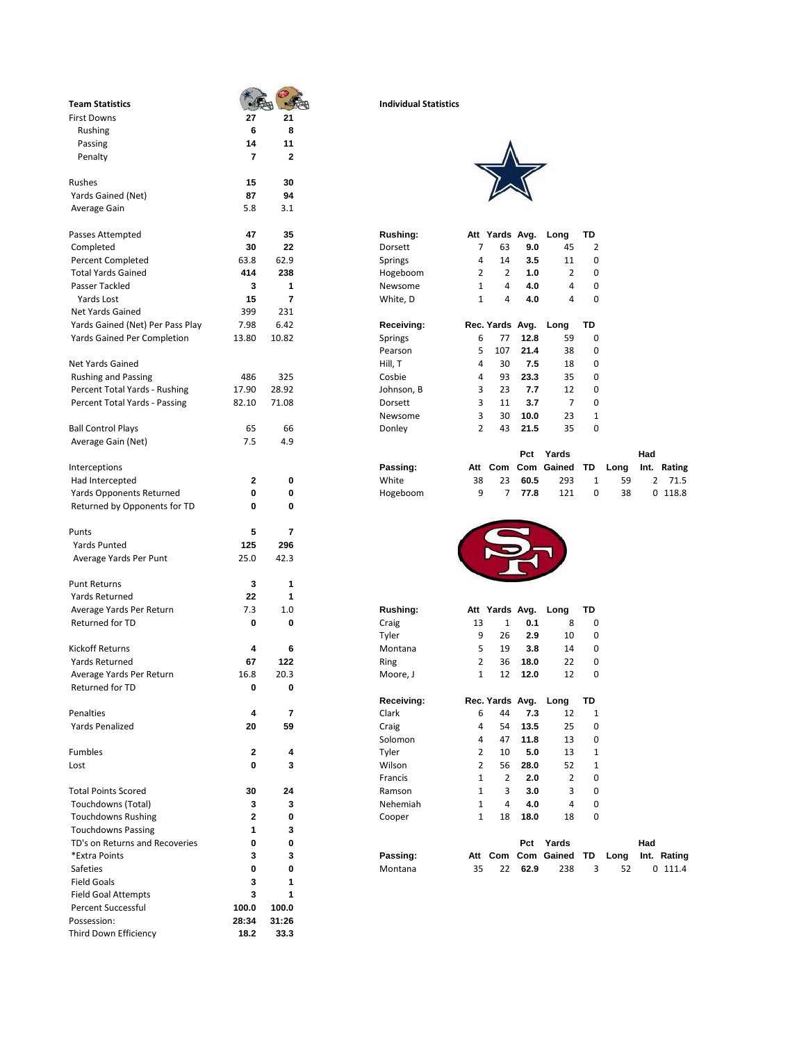| <b>Team Statistics</b>           |             |                         | <b>Individual Statistics</b> |                     |                 |      |                       |    |      |      |             |
|----------------------------------|-------------|-------------------------|------------------------------|---------------------|-----------------|------|-----------------------|----|------|------|-------------|
|                                  |             |                         |                              |                     |                 |      |                       |    |      |      |             |
| <b>First Downs</b>               | 27          | 21                      |                              |                     |                 |      |                       |    |      |      |             |
| <b>Rushing</b>                   | 6           | 8                       |                              |                     |                 |      |                       |    |      |      |             |
| Passing                          | 14          | 11                      |                              |                     |                 |      |                       |    |      |      |             |
| Penalty                          | 7           | $\overline{\mathbf{2}}$ |                              |                     |                 |      |                       |    |      |      |             |
| Rushes                           | 15          | 30                      |                              |                     |                 |      |                       |    |      |      |             |
| Yards Gained (Net)               | 87          | 94                      |                              |                     |                 |      |                       |    |      |      |             |
| Average Gain                     | 5.8         | 3.1                     |                              |                     |                 |      |                       |    |      |      |             |
| Passes Attempted                 | 47          | 35                      | Rushing:                     |                     | Att Yards Avg.  |      | Long                  | TD |      |      |             |
| Completed                        | 30          | 22                      | Dorsett                      | 7                   | 63              | 9.0  | 45                    | 2  |      |      |             |
| <b>Percent Completed</b>         | 63.8        | 62.9                    | Springs                      | 4                   | 14              | 3.5  | 11                    | 0  |      |      |             |
| <b>Total Yards Gained</b>        | 414         | 238                     | Hogeboom                     | 2                   | 2               | 1.0  | 2                     | 0  |      |      |             |
| Passer Tackled                   | 3           | 1                       | Newsome                      | $\mathbf{1}$        | 4               | 4.0  | 4                     | 0  |      |      |             |
| Yards Lost                       | 15          | 7                       | White, D                     | $\mathbf{1}$        | 4               | 4.0  | 4                     | 0  |      |      |             |
| <b>Net Yards Gained</b>          | 399         | 231                     |                              |                     |                 |      |                       |    |      |      |             |
| Yards Gained (Net) Per Pass Play | 7.98        | 6.42                    | Receiving:                   |                     | Rec. Yards Avg. |      | Long                  | TD |      |      |             |
| Yards Gained Per Completion      | 13.80       | 10.82                   | Springs                      | 6                   | 77              | 12.8 | 59                    | 0  |      |      |             |
|                                  |             |                         | Pearson                      | 5                   | 107             | 21.4 | 38                    | 0  |      |      |             |
| Net Yards Gained                 |             |                         | Hill, T                      | 4                   | 30              | 7.5  | 18                    | 0  |      |      |             |
| <b>Rushing and Passing</b>       | 486         | 325                     | Cosbie                       | 4                   | 93              | 23.3 | 35                    | 0  |      |      |             |
| Percent Total Yards - Rushing    | 17.90       | 28.92                   | Johnson, B                   | 3                   | 23              | 7.7  | 12                    | 0  |      |      |             |
|                                  |             |                         |                              | 3                   |                 |      | $\overline{7}$        | 0  |      |      |             |
| Percent Total Yards - Passing    | 82.10       | 71.08                   | Dorsett                      |                     | 11              | 3.7  |                       |    |      |      |             |
|                                  |             |                         | Newsome                      | 3<br>$\overline{2}$ | 30              | 10.0 | 23<br>35              | 1  |      |      |             |
| <b>Ball Control Plays</b>        | 65          | 66                      | Donley                       |                     | 43              | 21.5 |                       | 0  |      |      |             |
| Average Gain (Net)               | 7.5         | 4.9                     |                              |                     |                 | Pct  | Yards                 |    |      | Had  |             |
| Interceptions                    |             |                         | Passing:                     | Att                 |                 |      | Com Com Gained TD     |    | Long | Int. | Rating      |
| Had Intercepted                  | 2           | 0                       | White                        | 38                  | 23              | 60.5 | 293                   | 1  | 59   | 2    | 71.5        |
|                                  | 0           | 0                       |                              | 9                   | 7               | 77.8 | 121                   | 0  | 38   |      | $0$ 118.8   |
| <b>Yards Opponents Returned</b>  | 0           | 0                       | Hogeboom                     |                     |                 |      |                       |    |      |      |             |
| Returned by Opponents for TD     |             |                         |                              |                     |                 |      |                       |    |      |      |             |
| Punts                            | 5           | 7                       |                              |                     |                 |      |                       |    |      |      |             |
| <b>Yards Punted</b>              | 125         | 296                     |                              |                     |                 |      |                       |    |      |      |             |
| Average Yards Per Punt           | 25.0        | 42.3                    |                              |                     |                 |      |                       |    |      |      |             |
|                                  |             |                         |                              |                     |                 |      |                       |    |      |      |             |
| <b>Punt Returns</b>              | 3           | 1                       |                              |                     |                 |      |                       |    |      |      |             |
| Yards Returned                   | 22          | 1                       |                              |                     |                 |      |                       |    |      |      |             |
| Average Yards Per Return         | 7.3         | 1.0                     | Rushing:                     |                     | Att Yards Avg.  |      | Long                  | TD |      |      |             |
| Returned for TD                  | 0           | 0                       | Craig                        | 13                  | 1               | 0.1  | 8                     | 0  |      |      |             |
|                                  |             |                         | Tyler                        | 9                   | 26              | 2.9  | 10                    | 0  |      |      |             |
| <b>Kickoff Returns</b>           | 4           | 6                       | Montana                      | 5                   | 19              | 3.8  | 14                    | 0  |      |      |             |
| Yards Returned                   | 67          | 122                     | Ring                         | 2                   | 36              | 18.0 | 22                    | 0  |      |      |             |
| Average Yards Per Return         | 16.8        | 20.3                    | Moore, J                     | 1                   | 12              | 12.0 | 12                    | U  |      |      |             |
| Returned for TD                  | 0           | 0                       |                              |                     |                 |      |                       |    |      |      |             |
|                                  |             |                         | Receiving:                   |                     |                 |      | Rec. Yards Avg. Long  | TD |      |      |             |
| Penalties                        | 4           | 7                       | Clark                        | 6                   | 44              | 7.3  | 12                    | 1  |      |      |             |
| <b>Yards Penalized</b>           | 20          | 59                      | Craig                        | 4                   | 54              | 13.5 | 25                    | 0  |      |      |             |
|                                  |             |                         | Solomon                      | 4                   | 47              | 11.8 | 13                    | 0  |      |      |             |
| Fumbles                          | 2           | 4                       | Tyler                        | 2                   | 10              | 5.0  | 13                    | 1  |      |      |             |
| Lost                             | 0           | 3                       | Wilson                       | 2                   | 56              | 28.0 | 52                    | 1  |      |      |             |
|                                  |             |                         | Francis                      | $\mathbf{1}$        | 2               | 2.0  | 2                     | 0  |      |      |             |
| <b>Total Points Scored</b>       | 30          | 24                      | Ramson                       | $\mathbf{1}$        | 3               | 3.0  | 3                     | 0  |      |      |             |
| Touchdowns (Total)               | 3           | 3                       | Nehemiah                     | 1                   | 4               | 4.0  | 4                     | 0  |      |      |             |
| <b>Touchdowns Rushing</b>        | $\mathbf 2$ | 0                       | Cooper                       | 1                   | 18              | 18.0 | 18                    | 0  |      |      |             |
| <b>Touchdowns Passing</b>        | 1           | 3                       |                              |                     |                 |      |                       |    |      |      |             |
| TD's on Returns and Recoveries   | 0           | 0                       |                              |                     |                 |      | Pct Yards             |    |      | Had  |             |
| *Extra Points                    | 3           | 3                       | Passing:                     |                     |                 |      | Att Com Com Gained TD |    | Long |      | Int. Rating |
| Safeties                         | 0           | 0                       | Montana                      | 35                  | 22              | 62.9 | 238                   | 3  | 52   |      | $0$ 111.4   |
| <b>Field Goals</b>               | 3           | 1                       |                              |                     |                 |      |                       |    |      |      |             |
| <b>Field Goal Attempts</b>       | 3           | 1                       |                              |                     |                 |      |                       |    |      |      |             |
| Percent Successful               | 100.0       | 100.0                   |                              |                     |                 |      |                       |    |      |      |             |
| Possession:                      | 28:34       | 31:26                   |                              |                     |                 |      |                       |    |      |      |             |
| Third Down Efficiency            | 18.2        | 33.3                    |                              |                     |                 |      |                       |    |      |      |             |
|                                  |             |                         |                              |                     |                 |      |                       |    |      |      |             |

## **Team Statistics Individual Statistics**



| Rushing:   |   | Att Yards Avg.  |      | Long | TD           |
|------------|---|-----------------|------|------|--------------|
| Dorsett    | 7 | 63              | 9.0  | 45   | 2            |
| Springs    | 4 | 14              | 3.5  | 11   | 0            |
| Hogeboom   | 2 | 2               | 1.0  | 2    | 0            |
| Newsome    | 1 | 4               | 4.0  | 4    | 0            |
| White, D   | 1 | 4               | 4.0  | 4    | 0            |
|            |   |                 |      |      |              |
| Receiving: |   | Rec. Yards Avg. |      | Long | TD           |
| Springs    | 6 | 77              | 12.8 | 59   | 0            |
| Pearson    | 5 | 107             | 21.4 | 38   | 0            |
| Hill, T    | 4 | 30              | 7.5  | 18   | 0            |
| Cosbie     | 4 | 93              | 23.3 | 35   | 0            |
| Johnson, B | 3 | 23              | 7.7  | 12   | 0            |
| Dorsett    | 3 | 11              | 3.7  | 7    | 0            |
| Newsome    | 3 | 30              | 10.0 | 23   | $\mathbf{1}$ |
| Donley     | 2 | 43              | 21.5 | 35   | ŋ            |

|                          |  |          |    | Pct     | Yards                 |          |                  | Had |         |
|--------------------------|--|----------|----|---------|-----------------------|----------|------------------|-----|---------|
| Interceptions            |  | Passing: |    |         | Att Com Com Gained TD |          | Long Int. Rating |     |         |
| Had Intercepted          |  | White    | 38 | 23 60.5 | 293                   |          | 59               |     | 2 71.5  |
| Yards Opponents Returned |  | Hogeboom |    | 77.8    | 121                   | $\Omega$ | 38               |     | 0.118.8 |



|               |              |         | Att Yards Avg. Long TD |   |
|---------------|--------------|---------|------------------------|---|
| 13            | $\mathbf{1}$ | 0.1     | 8                      | 0 |
| q             | 26           | 2.9     | 10                     | 0 |
| 5.            | 19           | 3.8     | 14                     | 0 |
| $\mathcal{P}$ |              | 36 18.0 | 22                     | 0 |
|               |              | 12 12.0 | 12                     | ŋ |

| Receiving: |   | Rec. Yards Avg. |      | Long           | TD |
|------------|---|-----------------|------|----------------|----|
| Clark      | 6 | 44              | 7.3  | 12             | 1  |
| Craig      | 4 | 54              | 13.5 | 25             | 0  |
| Solomon    | 4 | 47              | 11.8 | 13             | 0  |
| Tyler      | 2 | 10              | 5.0  | 13             | 1  |
| Wilson     | 2 | 56              | 28.0 | 52             | 1  |
| Francis    | 1 | 2               | 2.0  | $\overline{2}$ | 0  |
| Ramson     | 1 | 3               | 3.0  | 3              | 0  |
| Nehemiah   | 1 | 4               | 4.0  | 4              | 0  |
| Cooper     | 1 | 18              | 18.0 | 18             | ŋ  |

| TD's on Returns and Recoveries |  |          |  |            | Pct Yards                              |                  | Had |  |
|--------------------------------|--|----------|--|------------|----------------------------------------|------------------|-----|--|
| *Extra Points                  |  | Passing: |  |            | Att Com Com Gained TD Long Int. Rating |                  |     |  |
| <b>Safeties</b>                |  | Montana  |  | 35 22 62.9 |                                        | 238 3 52 0 111.4 |     |  |